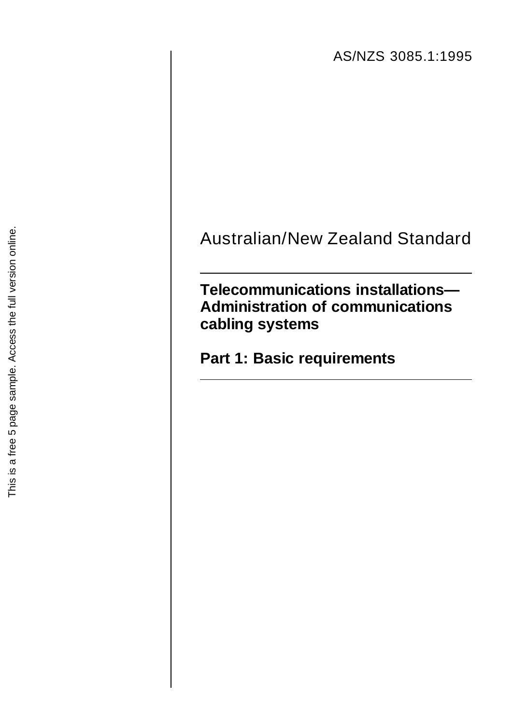AS/NZS 3085.1:1995

# Australian/New Zealand Standard

**Telecommunications installations— Administration of communications cabling systems**

**Part 1: Basic requirements**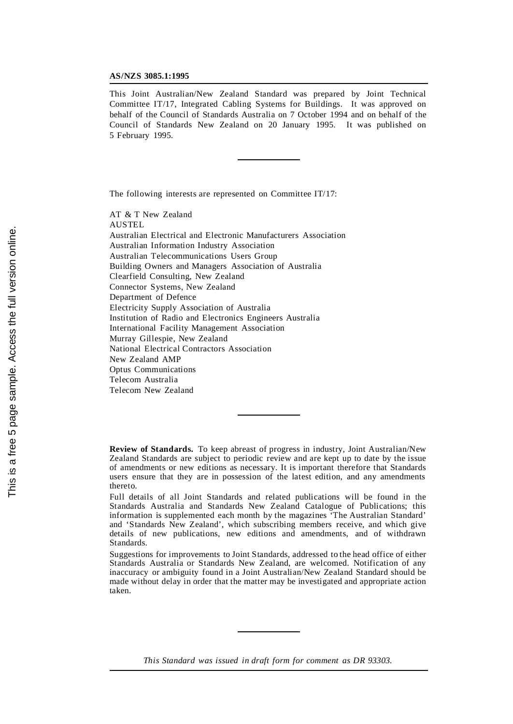#### **AS/NZS 3085.1:1995**

This Joint Australian/New Zealand Standard was prepared by Joint Technical Committee IT/17, Integrated Cabling Systems for Buildings. It was approved on behalf of the Council of Standards Australia on 7 October 1994 and on behalf of the Council of Standards New Zealand on 20 January 1995. It was published on 5 February 1995.

The following interests are represented on Committee IT/17:

AT & T New Zealand AUSTEL Australian Electrical and Electronic Manufacturers Association Australian Information Industry Association Australian Telecommunications Users Group Building Owners and Managers Association of Australia Clearfield Consulting, New Zealand Connector Systems, New Zealand Department of Defence Electricity Supply Association of Australia Institution of Radio and Electronics Engineers Australia International Facility Management Association Murray Gillespie, New Zealand National Electrical Contractors Association New Zealand AMP Optus Communications Telecom Australia Telecom New Zealand

**Review of Standards.** To keep abreast of progress in industry, Joint Australian/New Zealand Standards are subject to periodic review and are kept up to date by the issue of amendments or new editions as necessary. It is important therefore that Standards users ensure that they are in possession of the latest edition, and any amendments thereto.

Full details of all Joint Standards and related publications will be found in the Standards Australia and Standards New Zealand Catalogue of Publications; this information is supplemented each month by the magazines 'The Australian Standard' and 'Standards New Zealand', which subscribing members receive, and which give details of new publications, new editions and amendments, and of withdrawn Standards.

Suggestions for improvements to Joint Standards, addressed to the head office of either Standards Australia or Standards New Zealand, are welcomed. Notification of any inaccuracy or ambiguity found in a Joint Australian/New Zealand Standard should be made without delay in order that the matter may be investigated and appropriate action taken.

*This Standard was issued in draft form for comment as DR 93303.*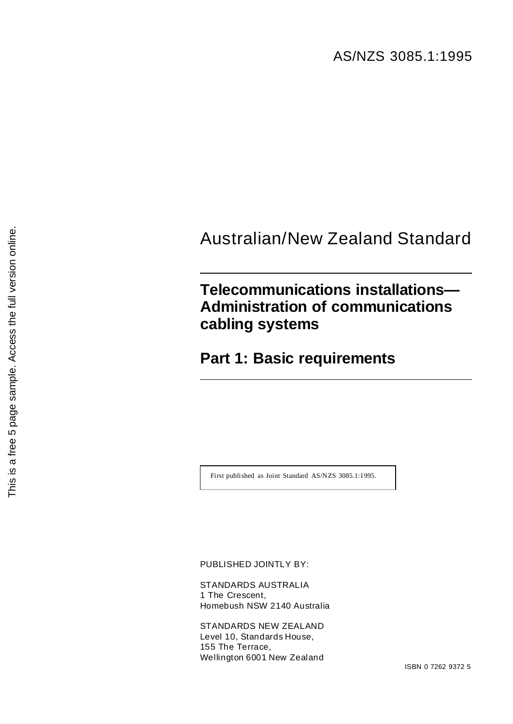## Australian/New Zealand Standard

## **Telecommunications installations— Administration of communications cabling systems**

**Part 1: Basic requirements**

First published as Joint Standard AS/NZS 3085.1:1995.

PUBLISHED JOINTLY BY:

STANDARDS AUSTRALIA 1 The Crescent, Homebush NSW 2140 Australia

STANDARDS NEW ZEALAND Level 10, Standards House, 155 The Terrace, Wellington 6001 New Zealand

ISBN 0 7262 9372 5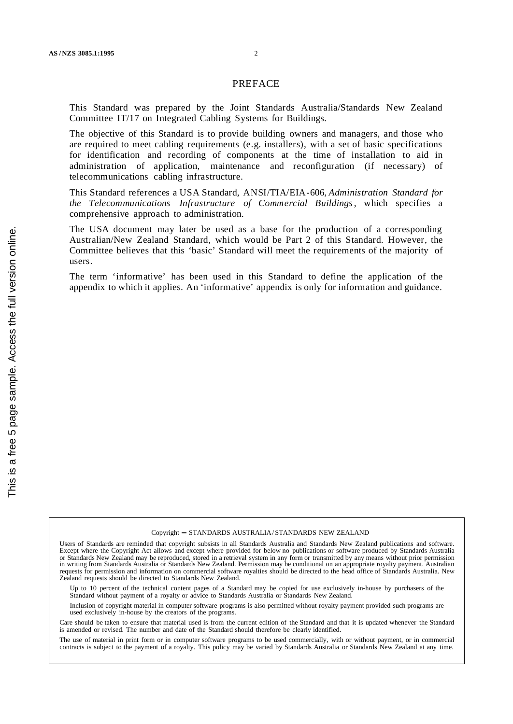### PREFACE

This Standard was prepared by the Joint Standards Australia/Standards New Zealand Committee IT/17 on Integrated Cabling Systems for Buildings.

The objective of this Standard is to provide building owners and managers, and those who are required to meet cabling requirements (e.g. installers), with a set of basic specifications for identification and recording of components at the time of installation to aid in administration of application, maintenance and reconfiguration (if necessary) of telecommunications cabling infrastructure.

This Standard references a USA Standard, ANSI/TIA/EIA-606, *Administration Standard for the Telecommunications Infrastructure of Commercial Buildings*, which specifies a comprehensive approach to administration.

The USA document may later be used as a base for the production of a corresponding Australian/New Zealand Standard, which would be Part 2 of this Standard. However, the Committee believes that this 'basic' Standard will meet the requirements of the majority of users.

The term 'informative' has been used in this Standard to define the application of the appendix to which it applies. An 'informative' appendix is only for information and guidance.

The use of material in print form or in computer software programs to be used commercially, with or without payment, or in commercial contracts is subject to the payment of a royalty. This policy may be varied by Standards Australia or Standards New Zealand at any time.

<sup>©</sup> Copyright - STANDARDS AUSTRALIA/ STANDARDS NEW ZEALAND

Users of Standards are reminded that copyright subsists in all Standards Australia and Standards New Zealand publications and software. Except where the Copyright Act allows and except where provided for below no publications or software produced by Standards Australia or Standards New Zealand may be reproduced, stored in a retrieval system in any form or transmitted by any means without prior permission in writing from Standards Australia or Standards New Zealand. Permission may be conditional on an appropriate royalty payment. Australian requests for permission and information on commercial software royalties should be directed to the head office of Standards Australia. New Zealand requests should be directed to Standards New Zealand.

Up to 10 percent of the technical content pages of a Standard may be copied for use exclusively in-house by purchasers of the Standard without payment of a royalty or advice to Standards Australia or Standards New Zealand.

Inclusion of copyright material in computer software programs is also permitted without royalty payment provided such programs are used exclusively in-house by the creators of the programs.

Care should be taken to ensure that material used is from the current edition of the Standard and that it is updated whenever the Standard is amended or revised. The number and date of the Standard should therefore be clearly identified.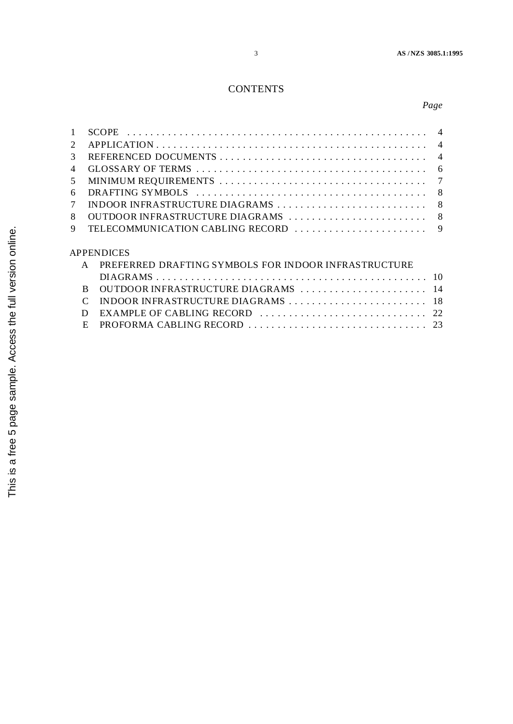### **CONTENTS**

### *Page*

| $\mathcal{D}_{\mathcal{L}}$ |                                                                      |  |
|-----------------------------|----------------------------------------------------------------------|--|
| 3                           |                                                                      |  |
| $\overline{4}$              |                                                                      |  |
| .5                          |                                                                      |  |
| 6                           |                                                                      |  |
|                             |                                                                      |  |
| 8                           |                                                                      |  |
| 9                           |                                                                      |  |
|                             |                                                                      |  |
|                             | <b>APPENDICES</b>                                                    |  |
|                             | PREFERRED DRAFTING SYMBOLS FOR INDOOR INFRASTRUCTURE<br>$\mathsf{A}$ |  |
|                             |                                                                      |  |
|                             | OUTDOOR INFRASTRUCTURE DIAGRAMS  14<br><sub>R</sub>                  |  |

C INDOOR INFRASTRUCTURE DIAGRAMS . . . . . . . . . . . . . . . . . . . . . . . . 18 D EXAMPLE OF CABLING RECORD . . . . . . . . . . . . . . . . . . . . . . . . . . . . . 22 E PROFORMA CABLING RECORD . . . . . . . . . . . . . . . . . . . . . . . . . . . . . . . 23